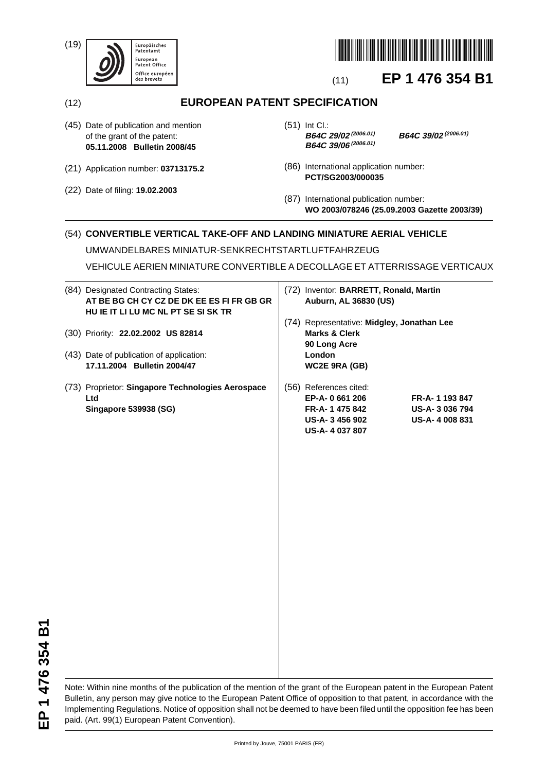(19)





# (11) **EP 1 476 354 B1**

(12) **EUROPEAN PATENT SPECIFICATION**

- (45) Date of publication and mention of the grant of the patent: **05.11.2008 Bulletin 2008/45**
- (21) Application number: **03713175.2**
- (22) Date of filing: **19.02.2003**

(51) Int Cl.:<br>**B64C 29/02** (2006.01) **B64C 39/06(2006.01)**

**B64C 29/02(2006.01) B64C 39/02(2006.01)**

- (86) International application number: **PCT/SG2003/000035**
- (87) International publication number: **WO 2003/078246 (25.09.2003 Gazette 2003/39)**

# (54) **CONVERTIBLE VERTICAL TAKE-OFF AND LANDING MINIATURE AERIAL VEHICLE**

UMWANDELBARES MINIATUR-SENKRECHTSTARTLUFTFAHRZEUG

VEHICULE AERIEN MINIATURE CONVERTIBLE A DECOLLAGE ET ATTERRISSAGE VERTICAUX

| (84) Designated Contracting States:<br>AT BE BG CH CY CZ DE DK EE ES FI FR GB GR<br>HU IE IT LI LU MC NL PT SE SI SK TR | (72) Inventor: BARRETT, Ronald, Martin<br><b>Auburn, AL 36830 (US)</b> |                                                                                                 |                                                |
|-------------------------------------------------------------------------------------------------------------------------|------------------------------------------------------------------------|-------------------------------------------------------------------------------------------------|------------------------------------------------|
| (30) Priority: 22.02.2002 US 82814                                                                                      |                                                                        | (74) Representative: Midgley, Jonathan Lee<br><b>Marks &amp; Clerk</b><br>90 Long Acre          |                                                |
| (43) Date of publication of application:<br>17.11.2004 Bulletin 2004/47                                                 |                                                                        | <b>London</b><br>WC2E 9RA (GB)                                                                  |                                                |
| (73) Proprietor: Singapore Technologies Aerospace<br>Ltd<br>Singapore 539938 (SG)                                       |                                                                        | (56) References cited:<br>EP-A-0 661 206<br>FR-A-1475842<br>US-A-3456902<br><b>US-A-4037807</b> | FR-A-1193847<br>US-A-3036794<br>US-A-4 008 831 |

EP 1 476 354 B1 **EP 1 476 354 B1**

Note: Within nine months of the publication of the mention of the grant of the European patent in the European Patent Bulletin, any person may give notice to the European Patent Office of opposition to that patent, in accordance with the Implementing Regulations. Notice of opposition shall not be deemed to have been filed until the opposition fee has been paid. (Art. 99(1) European Patent Convention).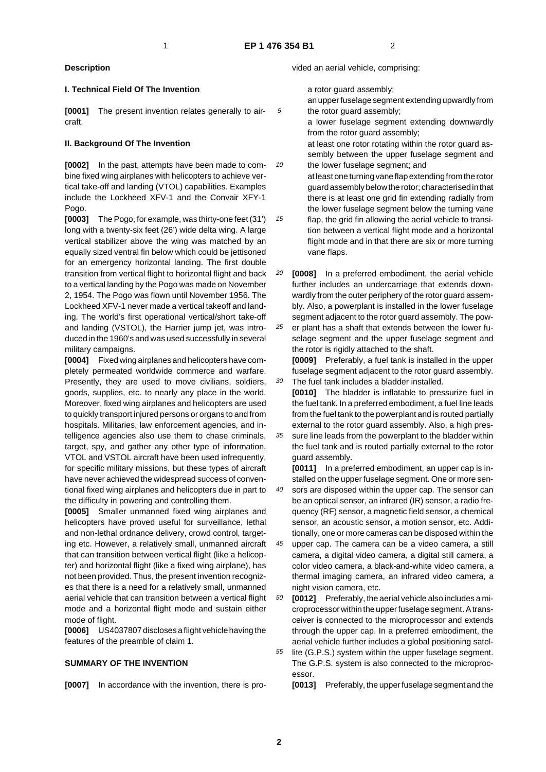10

15

30

## **Description**

#### **I. Technical Field Of The Invention**

**[0001]** The present invention relates generally to aircraft.

#### **II. Background Of The Invention**

**[0002]** In the past, attempts have been made to combine fixed wing airplanes with helicopters to achieve vertical take-off and landing (VTOL) capabilities. Examples include the Lockheed XFV-1 and the Convair XFY-1 Pogo.

**[0003]** The Pogo, for example, was thirty-one feet (31') long with a twenty-six feet (26') wide delta wing. A large vertical stabilizer above the wing was matched by an equally sized ventral fin below which could be jettisoned for an emergency horizontal landing. The first double transition from vertical flight to horizontal flight and back to a vertical landing by the Pogo was made on November 2, 1954. The Pogo was flown until November 1956. The Lockheed XFV-1 never made a vertical takeoff and landing. The world's first operational vertical/short take-off and landing (VSTOL), the Harrier jump jet, was introduced in the 1960's and was used successfully in several military campaigns.

**[0004]** Fixed wing airplanes and helicopters have completely permeated worldwide commerce and warfare. Presently, they are used to move civilians, soldiers, goods, supplies, etc. to nearly any place in the world. Moreover, fixed wing airplanes and helicopters are used to quickly transport injured persons or organs to and from hospitals. Militaries, law enforcement agencies, and intelligence agencies also use them to chase criminals, target, spy, and gather any other type of information. VTOL and VSTOL aircraft have been used infrequently, for specific military missions, but these types of aircraft have never achieved the widespread success of conventional fixed wing airplanes and helicopters due in part to the difficulty in powering and controlling them.

**[0005]** Smaller unmanned fixed wing airplanes and helicopters have proved useful for surveillance, lethal and non-lethal ordnance delivery, crowd control, targeting etc. However, a relatively small, unmanned aircraft that can transition between vertical flight (like a helicopter) and horizontal flight (like a fixed wing airplane), has not been provided. Thus, the present invention recognizes that there is a need for a relatively small, unmanned aerial vehicle that can transition between a vertical flight mode and a horizontal flight mode and sustain either mode of flight.

**[0006]** US4037807 discloses a flight vehicle having the features of the preamble of claim 1.

#### **SUMMARY OF THE INVENTION**

**[0007]** In accordance with the invention, there is pro-

vided an aerial vehicle, comprising:

a rotor guard assembly;

an upper fuselage segment extending upwardly from the rotor guard assembly;

a lower fuselage segment extending downwardly from the rotor guard assembly;

at least one rotor rotating within the rotor guard assembly between the upper fuselage segment and the lower fuselage segment; and

at least one turning vane flap extending from the rotor guard assembly below the rotor; characterised in that there is at least one grid fin extending radially from the lower fuselage segment below the turning vane flap, the grid fin allowing the aerial vehicle to transi-

tion between a vertical flight mode and a horizontal flight mode and in that there are six or more turning vane flaps.

20 **[0008]** In a preferred embodiment, the aerial vehicle further includes an undercarriage that extends downwardly from the outer periphery of the rotor guard assembly. Also, a powerplant is installed in the lower fuselage segment adjacent to the rotor guard assembly. The pow-

25 er plant has a shaft that extends between the lower fuselage segment and the upper fuselage segment and the rotor is rigidly attached to the shaft.

**[0009]** Preferably, a fuel tank is installed in the upper fuselage segment adjacent to the rotor guard assembly. The fuel tank includes a bladder installed.

**[0010]** The bladder is inflatable to pressurize fuel in the fuel tank. In a preferred embodiment, a fuel line leads from the fuel tank to the powerplant and is routed partially external to the rotor guard assembly. Also, a high pres-

35 sure line leads from the powerplant to the bladder within the fuel tank and is routed partially external to the rotor guard assembly.

**[0011]** In a preferred embodiment, an upper cap is installed on the upper fuselage segment. One or more sen-

40 sors are disposed within the upper cap. The sensor can be an optical sensor, an infrared (IR) sensor, a radio frequency (RF) sensor, a magnetic field sensor, a chemical sensor, an acoustic sensor, a motion sensor, etc. Additionally, one or more cameras can be disposed within the

45 upper cap. The camera can be a video camera, a still camera, a digital video camera, a digital still camera, a color video camera, a black-and-white video camera, a thermal imaging camera, an infrared video camera, a night vision camera, etc.

50 **[0012]** Preferably, the aerial vehicle also includes a microprocessor within the upper fuselage segment. A transceiver is connected to the microprocessor and extends through the upper cap. In a preferred embodiment, the aerial vehicle further includes a global positioning satel-

55 lite (G.P.S.) system within the upper fuselage segment. The G.P.S. system is also connected to the microprocessor.

**[0013]** Preferably, the upper fuselage segment and the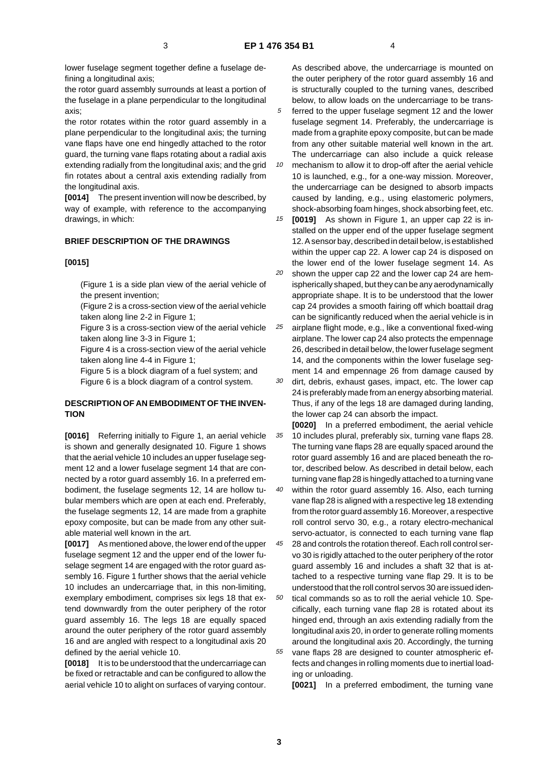lower fuselage segment together define a fuselage defining a longitudinal axis;

the rotor guard assembly surrounds at least a portion of the fuselage in a plane perpendicular to the longitudinal axis;

the rotor rotates within the rotor guard assembly in a plane perpendicular to the longitudinal axis; the turning vane flaps have one end hingedly attached to the rotor guard, the turning vane flaps rotating about a radial axis extending radially from the longitudinal axis; and the grid fin rotates about a central axis extending radially from the longitudinal axis.

**[0014]** The present invention will now be described, by way of example, with reference to the accompanying drawings, in which:

## **BRIEF DESCRIPTION OF THE DRAWINGS**

#### **[0015]**

(Figure 1 is a side plan view of the aerial vehicle of the present invention;

(Figure 2 is a cross-section view of the aerial vehicle taken along line 2-2 in Figure 1;

Figure 3 is a cross-section view of the aerial vehicle taken along line 3-3 in Figure 1;

Figure 4 is a cross-section view of the aerial vehicle taken along line 4-4 in Figure 1;

Figure 5 is a block diagram of a fuel system; and Figure 6 is a block diagram of a control system.

## **DESCRIPTION OF AN EMBODIMENT OF THE INVEN-TION**

**[0016]** Referring initially to Figure 1, an aerial vehicle is shown and generally designated 10. Figure 1 shows that the aerial vehicle 10 includes an upper fuselage segment 12 and a lower fuselage segment 14 that are connected by a rotor guard assembly 16. In a preferred embodiment, the fuselage segments 12, 14 are hollow tubular members which are open at each end. Preferably, the fuselage segments 12, 14 are made from a graphite epoxy composite, but can be made from any other suitable material well known in the art.

**[0017]** As mentioned above, the lower end of the upper fuselage segment 12 and the upper end of the lower fuselage segment 14 are engaged with the rotor guard assembly 16. Figure 1 further shows that the aerial vehicle 10 includes an undercarriage that, in this non-limiting, exemplary embodiment, comprises six legs 18 that extend downwardly from the outer periphery of the rotor guard assembly 16. The legs 18 are equally spaced around the outer periphery of the rotor guard assembly 16 and are angled with respect to a longitudinal axis 20 defined by the aerial vehicle 10.

**[0018]** It is to be understood that the undercarriage can be fixed or retractable and can be configured to allow the aerial vehicle 10 to alight on surfaces of varying contour. As described above, the undercarriage is mounted on the outer periphery of the rotor guard assembly 16 and is structurally coupled to the turning vanes, described below, to allow loads on the undercarriage to be trans-

5 ferred to the upper fuselage segment 12 and the lower fuselage segment 14. Preferably, the undercarriage is made from a graphite epoxy composite, but can be made from any other suitable material well known in the art. The undercarriage can also include a quick release

10 mechanism to allow it to drop-off after the aerial vehicle 10 is launched, e.g., for a one-way mission. Moreover, the undercarriage can be designed to absorb impacts caused by landing, e.g., using elastomeric polymers, shock-absorbing foam hinges, shock absorbing feet, etc.

15 **[0019]** As shown in Figure 1, an upper cap 22 is installed on the upper end of the upper fuselage segment 12. A sensor bay, described in detail below, is established within the upper cap 22. A lower cap 24 is disposed on the lower end of the lower fuselage segment 14. As

20 shown the upper cap 22 and the lower cap 24 are hemispherically shaped, but they can be any aerodynamically appropriate shape. It is to be understood that the lower cap 24 provides a smooth fairing off which boattail drag can be significantly reduced when the aerial vehicle is in

25 airplane flight mode, e.g., like a conventional fixed-wing airplane. The lower cap 24 also protects the empennage 26, described in detail below, the lower fuselage segment 14, and the components within the lower fuselage segment 14 and empennage 26 from damage caused by

30 dirt, debris, exhaust gases, impact, etc. The lower cap 24 is preferably made from an energy absorbing material. Thus, if any of the legs 18 are damaged during landing, the lower cap 24 can absorb the impact.

35 **[0020]** In a preferred embodiment, the aerial vehicle 10 includes plural, preferably six, turning vane flaps 28. The turning vane flaps 28 are equally spaced around the rotor guard assembly 16 and are placed beneath the rotor, described below. As described in detail below, each turning vane flap 28 is hingedly attached to a turning vane

40 within the rotor guard assembly 16. Also, each turning vane flap 28 is aligned with a respective leg 18 extending from the rotor guard assembly 16. Moreover, a respective roll control servo 30, e.g., a rotary electro-mechanical servo-actuator, is connected to each turning vane flap

45 28 and controls the rotation thereof. Each roll control servo 30 is rigidly attached to the outer periphery of the rotor guard assembly 16 and includes a shaft 32 that is attached to a respective turning vane flap 29. It is to be understood that the roll control servos 30 are issued iden-

50 55 tical commands so as to roll the aerial vehicle 10. Specifically, each turning vane flap 28 is rotated about its hinged end, through an axis extending radially from the longitudinal axis 20, in order to generate rolling moments around the longitudinal axis 20. Accordingly, the turning vane flaps 28 are designed to counter atmospheric ef-

fects and changes in rolling moments due to inertial loading or unloading.

**[0021]** In a preferred embodiment, the turning vane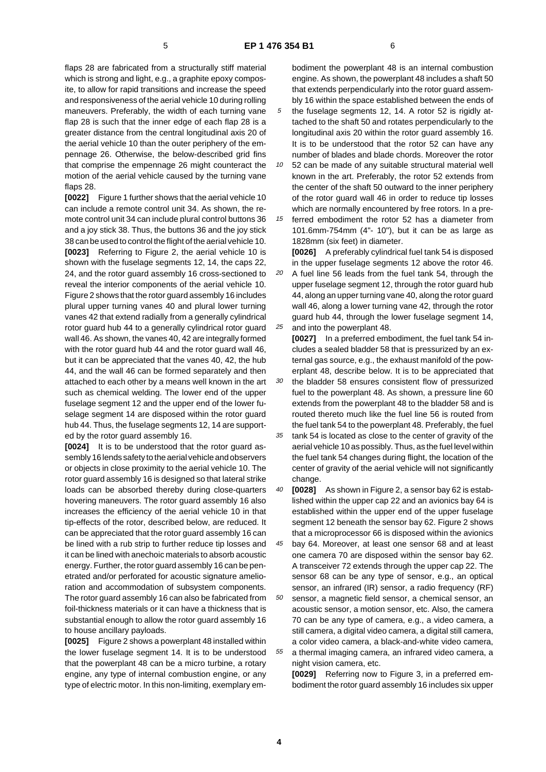flaps 28 are fabricated from a structurally stiff material which is strong and light, e.g., a graphite epoxy composite, to allow for rapid transitions and increase the speed and responsiveness of the aerial vehicle 10 during rolling maneuvers. Preferably, the width of each turning vane flap 28 is such that the inner edge of each flap 28 is a greater distance from the central longitudinal axis 20 of the aerial vehicle 10 than the outer periphery of the empennage 26. Otherwise, the below-described grid fins that comprise the empennage 26 might counteract the motion of the aerial vehicle caused by the turning vane flaps 28.

**[0022]** Figure 1 further shows that the aerial vehicle 10 can include a remote control unit 34. As shown, the remote control unit 34 can include plural control buttons 36 and a joy stick 38. Thus, the buttons 36 and the joy stick 38 can be used to control the flight of the aerial vehicle 10. **[0023]** Referring to Figure 2, the aerial vehicle 10 is shown with the fuselage segments 12, 14, the caps 22, 24, and the rotor guard assembly 16 cross-sectioned to reveal the interior components of the aerial vehicle 10. Figure 2 shows that the rotor guard assembly 16 includes plural upper turning vanes 40 and plural lower turning vanes 42 that extend radially from a generally cylindrical rotor guard hub 44 to a generally cylindrical rotor guard wall 46. As shown, the vanes 40, 42 are integrally formed with the rotor guard hub 44 and the rotor guard wall 46, but it can be appreciated that the vanes 40, 42, the hub 44, and the wall 46 can be formed separately and then attached to each other by a means well known in the art such as chemical welding. The lower end of the upper fuselage segment 12 and the upper end of the lower fuselage segment 14 are disposed within the rotor guard hub 44. Thus, the fuselage segments 12, 14 are supported by the rotor guard assembly 16.

**[0024]** It is to be understood that the rotor guard assembly 16 lends safety to the aerial vehicle and observers or objects in close proximity to the aerial vehicle 10. The rotor guard assembly 16 is designed so that lateral strike loads can be absorbed thereby during close-quarters hovering maneuvers. The rotor guard assembly 16 also increases the efficiency of the aerial vehicle 10 in that tip-effects of the rotor, described below, are reduced. It can be appreciated that the rotor guard assembly 16 can be lined with a rub strip to further reduce tip losses and it can be lined with anechoic materials to absorb acoustic energy. Further, the rotor guard assembly 16 can be penetrated and/or perforated for acoustic signature amelioration and accommodation of subsystem components. The rotor guard assembly 16 can also be fabricated from foil-thickness materials or it can have a thickness that is substantial enough to allow the rotor guard assembly 16 to house ancillary payloads.

**[0025]** Figure 2 shows a powerplant 48 installed within the lower fuselage segment 14. It is to be understood that the powerplant 48 can be a micro turbine, a rotary engine, any type of internal combustion engine, or any type of electric motor. In this non-limiting, exemplary embodiment the powerplant 48 is an internal combustion engine. As shown, the powerplant 48 includes a shaft 50 that extends perpendicularly into the rotor guard assembly 16 within the space established between the ends of

5 the fuselage segments 12, 14. A rotor 52 is rigidly attached to the shaft 50 and rotates perpendicularly to the longitudinal axis 20 within the rotor guard assembly 16. It is to be understood that the rotor 52 can have any number of blades and blade chords. Moreover the rotor

10 52 can be made of any suitable structural material well known in the art. Preferably, the rotor 52 extends from the center of the shaft 50 outward to the inner periphery of the rotor guard wall 46 in order to reduce tip losses which are normally encountered by free rotors. In a pre-

15 ferred embodiment the rotor 52 has a diameter from 101.6mm-754mm (4"- 10"), but it can be as large as 1828mm (six feet) in diameter.

**[0026]** A preferably cylindrical fuel tank 54 is disposed in the upper fuselage segments 12 above the rotor 46.

20 25 A fuel line 56 leads from the fuel tank 54, through the upper fuselage segment 12, through the rotor guard hub 44, along an upper turning vane 40, along the rotor guard wall 46, along a lower turning vane 42, through the rotor guard hub 44, through the lower fuselage segment 14, and into the powerplant 48.

**[0027]** In a preferred embodiment, the fuel tank 54 includes a sealed bladder 58 that is pressurized by an external gas source, e.g., the exhaust manifold of the powerplant 48, describe below. It is to be appreciated that

30 the bladder 58 ensures consistent flow of pressurized fuel to the powerplant 48. As shown, a pressure line 60 extends from the powerplant 48 to the bladder 58 and is routed thereto much like the fuel line 56 is routed from the fuel tank 54 to the powerplant 48. Preferably, the fuel

35 tank 54 is located as close to the center of gravity of the aerial vehicle 10 as possibly. Thus, as the fuel level within the fuel tank 54 changes during flight, the location of the center of gravity of the aerial vehicle will not significantly change.

40 **[0028]** As shown in Figure 2, a sensor bay 62 is established within the upper cap 22 and an avionics bay 64 is established within the upper end of the upper fuselage segment 12 beneath the sensor bay 62. Figure 2 shows that a microprocessor 66 is disposed within the avionics

45 bay 64. Moreover, at least one sensor 68 and at least one camera 70 are disposed within the sensor bay 62. A transceiver 72 extends through the upper cap 22. The sensor 68 can be any type of sensor, e.g., an optical sensor, an infrared (IR) sensor, a radio frequency (RF)

50 55 sensor, a magnetic field sensor, a chemical sensor, an acoustic sensor, a motion sensor, etc. Also, the camera 70 can be any type of camera, e.g., a video camera, a still camera, a digital video camera, a digital still camera, a color video camera, a black-and-white video camera, a thermal imaging camera, an infrared video camera, a

night vision camera, etc. **[0029]** Referring now to Figure 3, in a preferred em-

bodiment the rotor guard assembly 16 includes six upper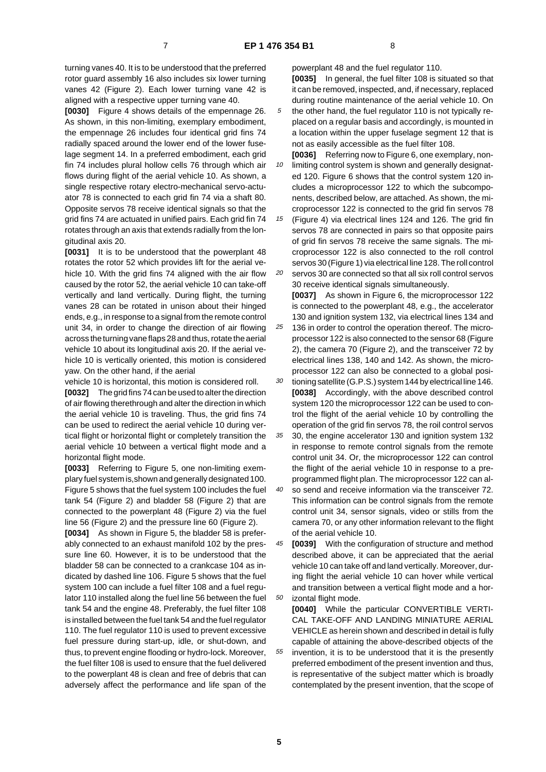turning vanes 40. It is to be understood that the preferred rotor guard assembly 16 also includes six lower turning vanes 42 (Figure 2). Each lower turning vane 42 is aligned with a respective upper turning vane 40.

**[0030]** Figure 4 shows details of the empennage 26. As shown, in this non-limiting, exemplary embodiment, the empennage 26 includes four identical grid fins 74 radially spaced around the lower end of the lower fuselage segment 14. In a preferred embodiment, each grid fin 74 includes plural hollow cells 76 through which air flows during flight of the aerial vehicle 10. As shown, a single respective rotary electro-mechanical servo-actuator 78 is connected to each grid fin 74 via a shaft 80. Opposite servos 78 receive identical signals so that the grid fins 74 are actuated in unified pairs. Each grid fin 74 rotates through an axis that extends radially from the longitudinal axis 20.

**[0031]** It is to be understood that the powerplant 48 rotates the rotor 52 which provides lift for the aerial vehicle 10. With the grid fins 74 aligned with the air flow caused by the rotor 52, the aerial vehicle 10 can take-off vertically and land vertically. During flight, the turning vanes 28 can be rotated in unison about their hinged ends, e.g., in response to a signal from the remote control unit 34, in order to change the direction of air flowing across the turning vane flaps 28 and thus, rotate the aerial vehicle 10 about its longitudinal axis 20. If the aerial vehicle 10 is vertically oriented, this motion is considered yaw. On the other hand, if the aerial

vehicle 10 is horizontal, this motion is considered roll. **[0032]** The grid fins 74 can be used to alter the direction of air flowing therethrough and alter the direction in which the aerial vehicle 10 is traveling. Thus, the grid fins 74 can be used to redirect the aerial vehicle 10 during vertical flight or horizontal flight or completely transition the aerial vehicle 10 between a vertical flight mode and a horizontal flight mode.

**[0033]** Referring to Figure 5, one non-limiting exemplary fuel system is,shown and generally designated 100. Figure 5 shows that the fuel system 100 includes the fuel tank 54 (Figure 2) and bladder 58 (Figure 2) that are connected to the powerplant 48 (Figure 2) via the fuel line 56 (Figure 2) and the pressure line 60 (Figure 2).

**[0034]** As shown in Figure 5, the bladder 58 is preferably connected to an exhaust manifold 102 by the pressure line 60. However, it is to be understood that the bladder 58 can be connected to a crankcase 104 as indicated by dashed line 106. Figure 5 shows that the fuel system 100 can include a fuel filter 108 and a fuel regulator 110 installed along the fuel line 56 between the fuel tank 54 and the engine 48. Preferably, the fuel filter 108 is installed between the fuel tank 54 and the fuel regulator 110. The fuel regulator 110 is used to prevent excessive fuel pressure during start-up, idle, or shut-down, and thus, to prevent engine flooding or hydro-lock. Moreover, the fuel filter 108 is used to ensure that the fuel delivered to the powerplant 48 is clean and free of debris that can adversely affect the performance and life span of the

powerplant 48 and the fuel regulator 110. **[0035]** In general, the fuel filter 108 is situated so that it can be removed, inspected, and, if necessary, replaced during routine maintenance of the aerial vehicle 10. On

- 5 the other hand, the fuel regulator 110 is not typically replaced on a regular basis and accordingly, is mounted in a location within the upper fuselage segment 12 that is not as easily accessible as the fuel filter 108.
- 10 **[0036]** Referring now to Figure 6, one exemplary, nonlimiting control system is shown and generally designated 120. Figure 6 shows that the control system 120 includes a microprocessor 122 to which the subcomponents, described below, are attached. As shown, the microprocessor 122 is connected to the grid fin servos 78

15 20 (Figure 4) via electrical lines 124 and 126. The grid fin servos 78 are connected in pairs so that opposite pairs of grid fin servos 78 receive the same signals. The microprocessor 122 is also connected to the roll control servos 30 (Figure 1) via electrical line 128. The roll control servos 30 are connected so that all six roll control servos

30 receive identical signals simultaneously. **[0037]** As shown in Figure 6, the microprocessor 122

25 is connected to the powerplant 48, e.g., the accelerator 130 and ignition system 132, via electrical lines 134 and 136 in order to control the operation thereof. The microprocessor 122 is also connected to the sensor 68 (Figure 2), the camera 70 (Figure 2), and the transceiver 72 by

- 30 electrical lines 138, 140 and 142. As shown, the microprocessor 122 can also be connected to a global positioning satellite (G.P.S.) system 144 by electrical line 146. **[0038]** Accordingly, with the above described control system 120 the microprocessor 122 can be used to control the flight of the aerial vehicle 10 by controlling the
- 35 operation of the grid fin servos 78, the roil control servos 30, the engine accelerator 130 and ignition system 132 in response to remote control signals from the remote control unit 34. Or, the microprocessor 122 can control the flight of the aerial vehicle 10 in response to a preprogrammed flight plan. The microprocessor 122 can al-
- 40 so send and receive information via the transceiver 72. This information can be control signals from the remote control unit 34, sensor signals, video or stills from the camera 70, or any other information relevant to the flight of the aerial vehicle 10.
- 45 50 **[0039]** With the configuration of structure and method described above, it can be appreciated that the aerial vehicle 10 can take off and land vertically. Moreover, during flight the aerial vehicle 10 can hover while vertical and transition between a vertical flight mode and a horizontal flight mode.

55 **[0040]** While the particular CONVERTIBLE VERTI-CAL TAKE-OFF AND LANDING MINIATURE AERIAL VEHICLE as herein shown and described in detail is fully capable of attaining the above-described objects of the invention, it is to be understood that it is the presently preferred embodiment of the present invention and thus, is representative of the subject matter which is broadly contemplated by the present invention, that the scope of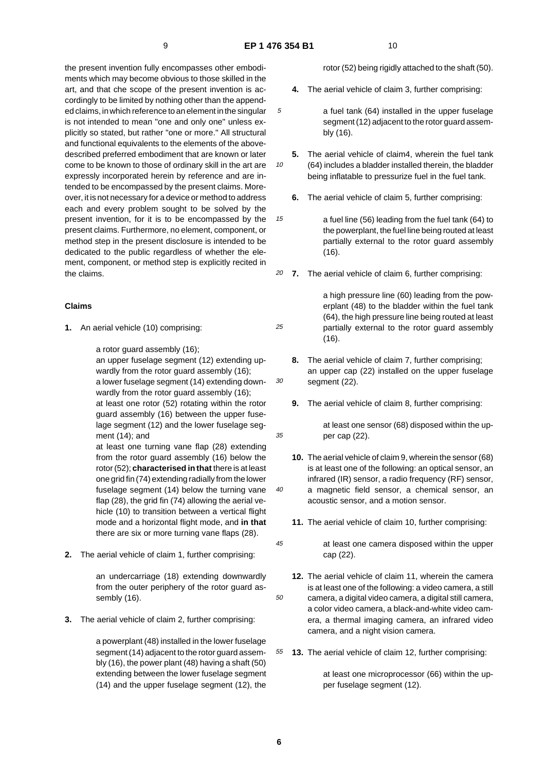10

15

25

30

35

40

45

the present invention fully encompasses other embodiments which may become obvious to those skilled in the art, and that che scope of the present invention is accordingly to be limited by nothing other than the appended claims, in which reference to an element in the singular is not intended to mean "one and only one" unless explicitly so stated, but rather "one or more." All structural and functional equivalents to the elements of the abovedescribed preferred embodiment that are known or later come to be known to those of ordinary skill in the art are expressly incorporated herein by reference and are intended to be encompassed by the present claims. Moreover, it is not necessary for a device or method to address each and every problem sought to be solved by the present invention, for it is to be encompassed by the present claims. Furthermore, no element, component, or method step in the present disclosure is intended to be dedicated to the public regardless of whether the element, component, or method step is explicitly recited in the claims.

#### **Claims**

**1.** An aerial vehicle (10) comprising:

a rotor guard assembly (16);

an upper fuselage segment (12) extending upwardly from the rotor guard assembly (16): a lower fuselage segment (14) extending downwardly from the rotor guard assembly (16);

at least one rotor (52) rotating within the rotor guard assembly (16) between the upper fuselage segment (12) and the lower fuselage segment (14); and

at least one turning vane flap (28) extending from the rotor guard assembly (16) below the rotor (52); **characterised in that** there is at least one grid fin (74) extending radially from the lower fuselage segment (14) below the turning vane flap (28), the grid fin (74) allowing the aerial vehicle (10) to transition between a vertical flight mode and a horizontal flight mode, and **in that** there are six or more turning vane flaps (28).

**2.** The aerial vehicle of claim 1, further comprising:

an undercarriage (18) extending downwardly from the outer periphery of the rotor guard assembly (16).

**3.** The aerial vehicle of claim 2, further comprising:

a powerplant (48) installed in the lower fuselage segment (14) adjacent to the rotor guard assembly (16), the power plant (48) having a shaft (50) extending between the lower fuselage segment (14) and the upper fuselage segment (12), the

rotor (52) being rigidly attached to the shaft (50).

**4.** The aerial vehicle of claim 3, further comprising:

a fuel tank (64) installed in the upper fuselage segment (12) adjacent to the rotor guard assembly (16).

- **5.** The aerial vehicle of claim4, wherein the fuel tank (64) includes a bladder installed therein, the bladder being inflatable to pressurize fuel in the fuel tank.
	- **6.** The aerial vehicle of claim 5, further comprising:

a fuel line (56) leading from the fuel tank (64) to the powerplant, the fuel line being routed at least partially external to the rotor guard assembly (16).

20 **7.** The aerial vehicle of claim 6, further comprising:

> a high pressure line (60) leading from the powerplant (48) to the bladder within the fuel tank (64), the high pressure line being routed at least partially external to the rotor guard assembly (16).

- **8.** The aerial vehicle of claim 7, further comprising; an upper cap (22) installed on the upper fuselage segment (22).
- **9.** The aerial vehicle of claim 8, further comprising:

at least one sensor (68) disposed within the upper cap (22).

- **10.** The aerial vehicle of claim 9, wherein the sensor (68) is at least one of the following: an optical sensor, an infrared (IR) sensor, a radio frequency (RF) sensor, a magnetic field sensor, a chemical sensor, an acoustic sensor, and a motion sensor.
- **11.** The aerial vehicle of claim 10, further comprising:
- at least one camera disposed within the upper cap (22).
- 50 **12.** The aerial vehicle of claim 11, wherein the camera is at least one of the following: a video camera, a still camera, a digital video camera, a digital still camera, a color video camera, a black-and-white video camera, a thermal imaging camera, an infrared video camera, and a night vision camera.
- 55 **13.** The aerial vehicle of claim 12, further comprising:

at least one microprocessor (66) within the upper fuselage segment (12).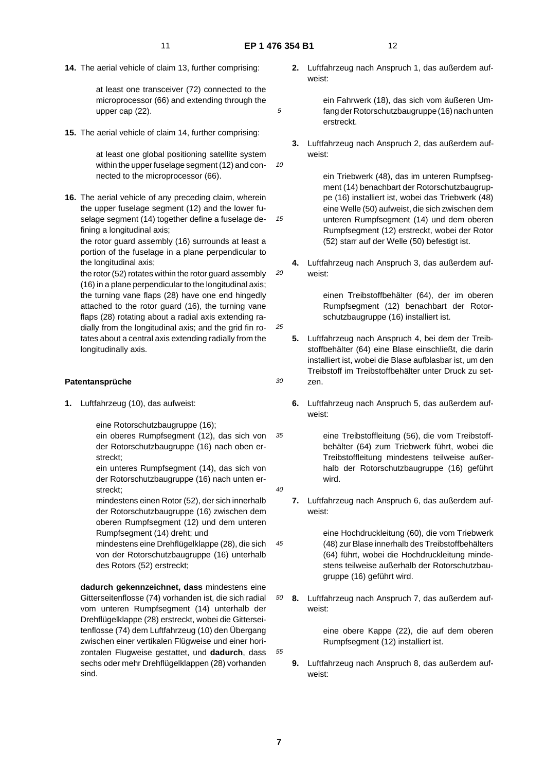10

15

20

25

30

 $\overline{40}$ 

45

**14.** The aerial vehicle of claim 13, further comprising:

at least one transceiver (72) connected to the microprocessor (66) and extending through the upper cap (22).

**15.** The aerial vehicle of claim 14, further comprising:

at least one global positioning satellite system within the upper fuselage segment (12) and connected to the microprocessor (66).

**16.** The aerial vehicle of any preceding claim, wherein the upper fuselage segment (12) and the lower fuselage segment (14) together define a fuselage defining a longitudinal axis;

the rotor guard assembly (16) surrounds at least a portion of the fuselage in a plane perpendicular to the longitudinal axis;

the rotor (52) rotates within the rotor guard assembly (16) in a plane perpendicular to the longitudinal axis; the turning vane flaps (28) have one end hingedly attached to the rotor guard (16), the turning vane flaps (28) rotating about a radial axis extending radially from the longitudinal axis; and the grid fin rotates about a central axis extending radially from the longitudinally axis.

#### **Patentansprüche**

**1.** Luftfahrzeug (10), das aufweist:

eine Rotorschutzbaugruppe (16);

35 ein oberes Rumpfsegment (12), das sich von der Rotorschutzbaugruppe (16) nach oben erstreckt;

ein unteres Rumpfsegment (14), das sich von der Rotorschutzbaugruppe (16) nach unten erstreckt;

mindestens einen Rotor (52), der sich innerhalb der Rotorschutzbaugruppe (16) zwischen dem oberen Rumpfsegment (12) und dem unteren Rumpfsegment (14) dreht; und

mindestens eine Drehflügelklappe (28), die sich von der Rotorschutzbaugruppe (16) unterhalb des Rotors (52) erstreckt;

**dadurch gekennzeichnet, dass** mindestens eine Gitterseitenflosse (74) vorhanden ist, die sich radial vom unteren Rumpfsegment (14) unterhalb der Drehflügelklappe (28) erstreckt, wobei die Gitterseitenflosse (74) dem Luftfahrzeug (10) den Übergang zwischen einer vertikalen Flügweise und einer horizontalen Flugweise gestattet, und **dadurch**, dass sechs oder mehr Drehflügelklappen (28) vorhanden sind.

**2.** Luftfahrzeug nach Anspruch 1, das außerdem aufweist:

> ein Fahrwerk (18), das sich vom äußeren Umfang der Rotorschutzbaugruppe (16) nach unten erstreckt.

**3.** Luftfahrzeug nach Anspruch 2, das außerdem aufweist:

> ein Triebwerk (48), das im unteren Rumpfsegment (14) benachbart der Rotorschutzbaugruppe (16) installiert ist, wobei das Triebwerk (48) eine Welle (50) aufweist, die sich zwischen dem unteren Rumpfsegment (14) und dem oberen Rumpfsegment (12) erstreckt, wobei der Rotor (52) starr auf der Welle (50) befestigt ist.

**4.** Luftfahrzeug nach Anspruch 3, das außerdem aufweist:

> einen Treibstoffbehälter (64), der im oberen Rumpfsegment (12) benachbart der Rotorschutzbaugruppe (16) installiert ist.

- **5.** Luftfahrzeug nach Anspruch 4, bei dem der Treibstoffbehälter (64) eine Blase einschließt, die darin installiert ist, wobei die Blase aufblasbar ist, um den Treibstoff im Treibstoffbehälter unter Druck zu setzen.
- **6.** Luftfahrzeug nach Anspruch 5, das außerdem aufweist:

eine Treibstoffleitung (56), die vom Treibstoffbehälter (64) zum Triebwerk führt, wobei die Treibstoffleitung mindestens teilweise außerhalb der Rotorschutzbaugruppe (16) geführt wird.

**7.** Luftfahrzeug nach Anspruch 6, das außerdem aufweist:

> eine Hochdruckleitung (60), die vom Triebwerk (48) zur Blase innerhalb des Treibstoffbehälters (64) führt, wobei die Hochdruckleitung mindestens teilweise außerhalb der Rotorschutzbaugruppe (16) geführt wird.

50 **8.** Luftfahrzeug nach Anspruch 7, das außerdem aufweist:

> eine obere Kappe (22), die auf dem oberen Rumpfsegment (12) installiert ist.

**9.** Luftfahrzeug nach Anspruch 8, das außerdem aufweist:

55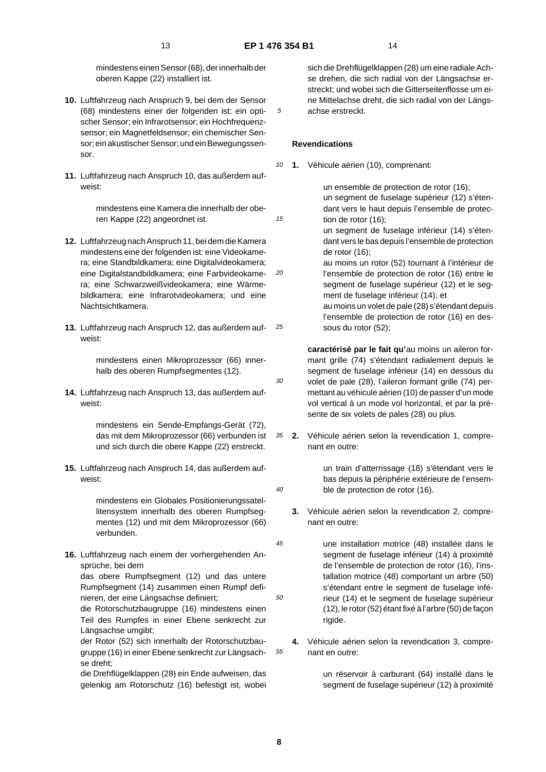15

30

 $40$ 

50

mindestens einen Sensor (68), der innerhalb der oberen Kappe (22) installiert ist.

- **10.** Luftfahrzeug nach Anspruch 9, bei dem der Sensor (68) mindestens einer der folgenden ist: ein optischer Sensor; ein Infrarotsensor; ein Hochfrequenzsensor; ein Magnetfeldsensor; ein chemischer Sensor; ein akustischer Sensor; und ein Bewegungssensor.
- **11.** Luftfahrzeug nach Anspruch 10, das außerdem aufweist:

mindestens eine Kamera die innerhalb der oberen Kappe (22) angeordnet ist.

- 20 **12.** Luftfahrzeug nach Anspruch 11, bei dem die Kamera mindestens eine der folgenden ist: eine Videokamera; eine Standbildkamera; eine Digitalvideokamera; eine Digitalstandbildkamera; eine Farbvideokamera; eine Schwarzweißvideokamera; eine Wärmebildkamera; eine Infrarotvideokamera; und eine Nachtsichtkamera.
- 25 **13.** Luftfahrzeug nach Anspruch 12, das außerdem aufweist:

mindestens einen Mikroprozessor (66) innerhalb des oberen Rumpfsegmentes (12).

**14.** Luftfahrzeug nach Anspruch 13, das außerdem aufweist:

> mindestens ein Sende-Empfangs-Gerät (72), das mit dem Mikroprozessor (66) verbunden ist und sich durch die obere Kappe (22) erstreckt.

**15.** Luftfahrzeug nach Anspruch 14, das außerdem aufweist:

> mindestens ein Globales Positionierungssatellitensystem innerhalb des oberen Rumpfsegmentes (12) und mit dem Mikroprozessor (66) verbunden.

**16.** Luftfahrzeug nach einem der vorhergehenden Ansprüche, bei dem

das obere Rumpfsegment (12) und das untere Rumpfsegment (14) zusammen einen Rumpf definieren, der eine Längsachse definiert;

die Rotorschutzbaugruppe (16) mindestens einen Teil des Rumpfes in einer Ebene senkrecht zur Längsachse umgibt;

der Rotor (52) sich innerhalb der Rotorschutzbaugruppe (16) in einer Ebene senkrecht zur Längsachse dreht;

die Drehflügelklappen (28) ein Ende aufweisen, das gelenkig am Rotorschutz (16) befestigt ist, wobei sich die Drehflügelklappen (28) um eine radiale Achse drehen, die sich radial von der Längsachse erstreckt; und wobei sich die Gitterseitenflosse um eine Mittelachse dreht, die sich radial von der Längsachse erstreckt.

#### **Revendications**

10 **1.** Véhicule aérien (10), comprenant:

> un ensemble de protection de rotor (16); un segment de fuselage supérieur (12) s'étendant vers le haut depuis l'ensemble de protection de rotor (16);

un segment de fuselage inférieur (14) s'étendant vers le bas depuis l'ensemble de protection de rotor (16);

au moins un rotor (52) tournant à l'intérieur de l'ensemble de protection de rotor (16) entre le segment de fuselage supérieur (12) et le segment de fuselage inférieur (14); et

au moins un volet de pale (28) s'étendant depuis l'ensemble de protection de rotor (16) en dessous du rotor (52);

**caractérisé par le fait qu'**au moins un aileron formant grille (74) s'étendant radialement depuis le segment de fuselage inférieur (14) en dessous du volet de pale (28), l'aileron formant grille (74) permettant au véhicule aérien (10) de passer d'un mode vol vertical à un mode vol horizontal, et par la présente de six volets de pales (28) ou plus.

35 **2.** Véhicule aérien selon la revendication 1, comprenant en outre:

> un train d'atterrissage (18) s'étendant vers le bas depuis la périphérie extérieure de l'ensemble de protection de rotor (16).

- **3.** Véhicule aérien selon la revendication 2, comprenant en outre:
- 45 une installation motrice (48) installée dans le segment de fuselage inférieur (14) à proximité de l'ensemble de protection de rotor (16), l'installation motrice (48) comportant un arbre (50) s'étendant entre le segment de fuselage inférieur (14) et le segment de fuselage supérieur (12), le rotor (52) étant fixé à l'arbre (50) de façon rigide.
- 55 **4.** Véhicule aérien selon la revendication 3, comprenant en outre:

un réservoir à carburant (64) installé dans le segment de fuselage supérieur (12) à proximité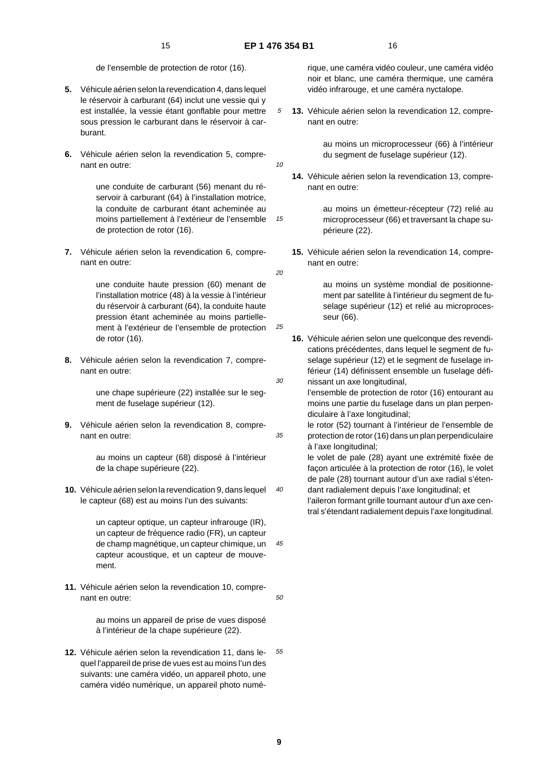10

15

20

25

30

35

 $40$ 

45

50

de l'ensemble de protection de rotor (16).

- **5.** Véhicule aérien selon la revendication 4, dans lequel le réservoir à carburant (64) inclut une vessie qui y est installée, la vessie étant gonflable pour mettre sous pression le carburant dans le réservoir à carburant.
- **6.** Véhicule aérien selon la revendication 5, comprenant en outre:

une conduite de carburant (56) menant du réservoir à carburant (64) à l'installation motrice, la conduite de carburant étant acheminée au moins partiellement à l'extérieur de l'ensemble de protection de rotor (16).

**7.** Véhicule aérien selon la revendication 6, comprenant en outre:

> une conduite haute pression (60) menant de l'installation motrice (48) à la vessie à l'intérieur du réservoir à carburant (64), la conduite haute pression étant acheminée au moins partiellement à l'extérieur de l'ensemble de protection de rotor (16).

**8.** Véhicule aérien selon la revendication 7, comprenant en outre:

> une chape supérieure (22) installée sur le segment de fuselage supérieur (12).

**9.** Véhicule aérien selon la revendication 8, comprenant en outre:

> au moins un capteur (68) disposé à l'intérieur de la chape supérieure (22).

**10.** Véhicule aérien selon la revendication 9, dans lequel le capteur (68) est au moins l'un des suivants:

> un capteur optique, un capteur infrarouge (IR), un capteur de fréquence radio (FR), un capteur de champ magnétique, un capteur chimique, un capteur acoustique, et un capteur de mouvement.

**11.** Véhicule aérien selon la revendication 10, comprenant en outre:

> au moins un appareil de prise de vues disposé à l'intérieur de la chape supérieure (22).

55 **12.** Véhicule aérien selon la revendication 11, dans lequel l'appareil de prise de vues est au moins l'un des suivants: une caméra vidéo, un appareil photo, une caméra vidéo numérique, un appareil photo numérique, une caméra vidéo couleur, une caméra vidéo noir et blanc, une caméra thermique, une caméra vidéo infrarouge, et une caméra nyctalope.

**13.** Véhicule aérien selon la revendication 12, comprenant en outre:

> au moins un microprocesseur (66) à l'intérieur du segment de fuselage supérieur (12).

**14.** Véhicule aérien selon la revendication 13, comprenant en outre:

> au moins un émetteur-récepteur (72) relié au microprocesseur (66) et traversant la chape supérieure (22).

**15.** Véhicule aérien selon la revendication 14, comprenant en outre:

> au moins un système mondial de positionnement par satellite à l'intérieur du segment de fuselage supérieur (12) et relié au microprocesseur (66).

**16.** Véhicule aérien selon une quelconque des revendications précédentes, dans lequel le segment de fuselage supérieur (12) et le segment de fuselage inférieur (14) définissent ensemble un fuselage définissant un axe longitudinal,

l'ensemble de protection de rotor (16) entourant au moins une partie du fuselage dans un plan perpendiculaire à l'axe longitudinal;

le rotor (52) tournant à l'intérieur de l'ensemble de protection de rotor (16) dans un plan perpendiculaire à l'axe longitudinal;

le volet de pale (28) ayant une extrémité fixée de façon articulée à la protection de rotor (16), le volet de pale (28) tournant autour d'un axe radial s'étendant radialement depuis l'axe longitudinal; et

l'aileron formant grille tournant autour d'un axe central s'étendant radialement depuis l'axe longitudinal.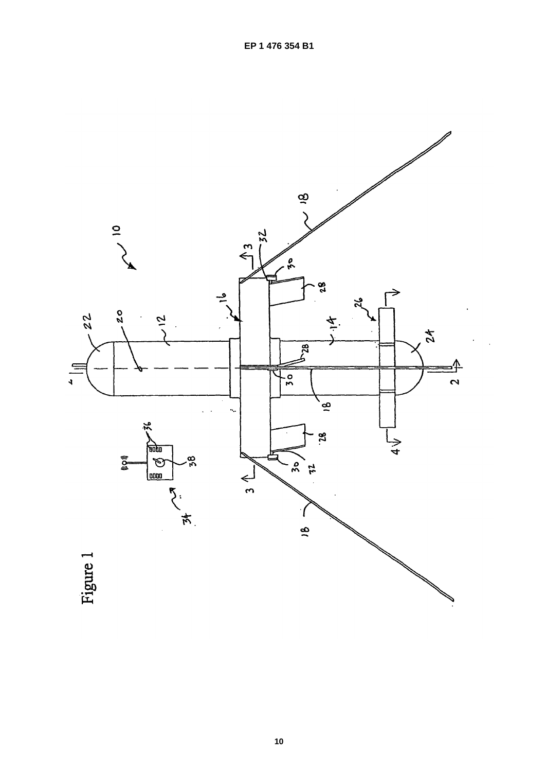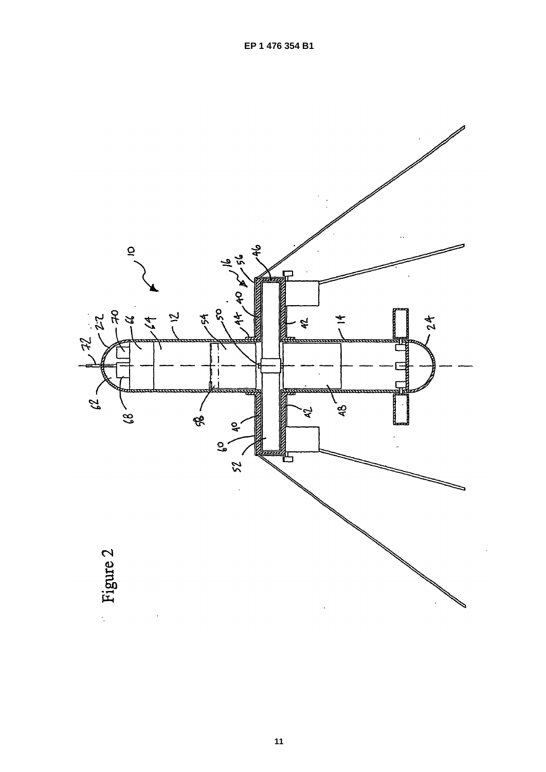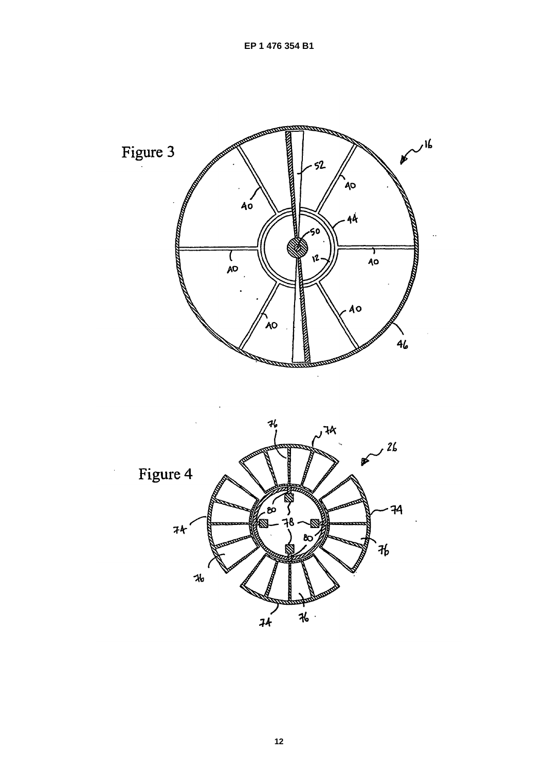

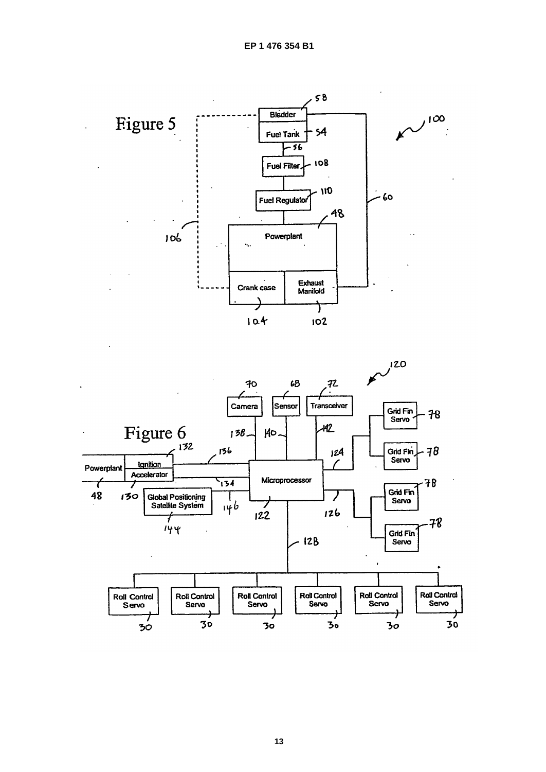